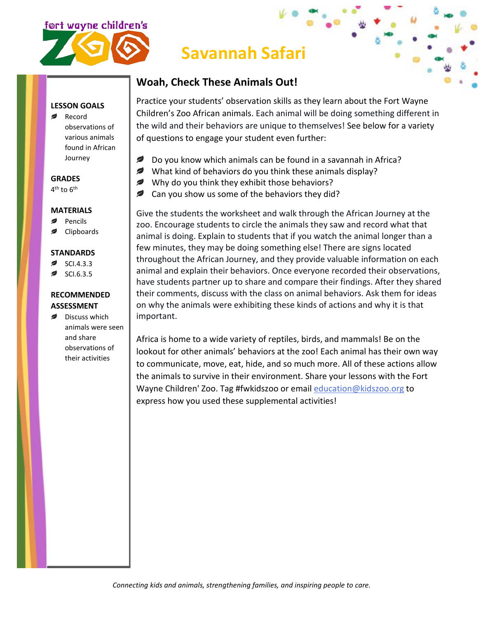

# **Savannah Safari**

#### **Woah, Check These Animals Out!**

**LESSON GOALS**

Record observations of various animals found in African Journey

#### **GRADES**

4<sup>th</sup> to 6<sup>th</sup>

#### **MATERIALS**

- ◢ Pencils
- Clipboards

#### **STANDARDS**

- SCI.4.3.3
- SCI.6.3.5

#### **RECOMMENDED ASSESSMENT**

Discuss which animals were seen and share observations of their activities

Practice your students' observation skills as they learn about the Fort Wayne Children's Zoo African animals. Each animal will be doing something different in the wild and their behaviors are unique to themselves! See below for a variety of questions to engage your student even further:

- ₽ Do you know which animals can be found in a savannah in Africa?
- What kind of behaviors do you think these animals display?
- Why do you think they exhibit those behaviors?
- Can you show us some of the behaviors they did? ℯ

Give the students the worksheet and walk through the African Journey at the zoo. Encourage students to circle the animals they saw and record what that animal is doing. Explain to students that if you watch the animal longer than a few minutes, they may be doing something else! There are signs located throughout the African Journey, and they provide valuable information on each animal and explain their behaviors. Once everyone recorded their observations, have students partner up to share and compare their findings. After they shared their comments, discuss with the class on animal behaviors. Ask them for ideas on why the animals were exhibiting these kinds of actions and why it is that important.

Africa is home to a wide variety of reptiles, birds, and mammals! Be on the lookout for other animals' behaviors at the zoo! Each animal has their own way to communicate, move, eat, hide, and so much more. All of these actions allow the animals to survive in their environment. Share your lessons with the Fort Wayne Children' Zoo. Tag #fwkidszoo or email [education@kidszoo.org](mailto:education@kidszoo.org) to express how you used these supplemental activities!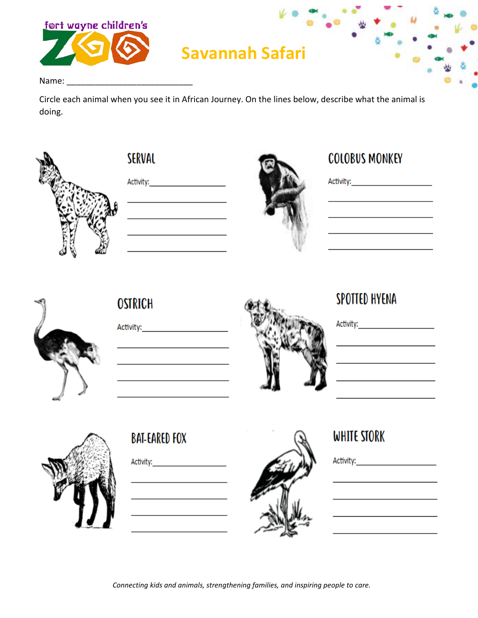

# **Savannah Safari**

Name: and the state of the state of the state of the state of the state of the state of the state of the state

Circle each animal when you see it in African Journey. On the lines below, describe what the animal is doing.





Activity: Activity:



# **COLOBUS MONKEY**

Activity: Activity: Activity:



**OSTRICH** 

Activity: Activity:



# SPOTTED HYENA

Activity: Activity: Activity: <u> 1989 - Johann Barbara, martin a</u>



## **BAT-EARED FOX**



# WHITE STORK

Connecting kids and animals, strengthening families, and inspiring people to care.